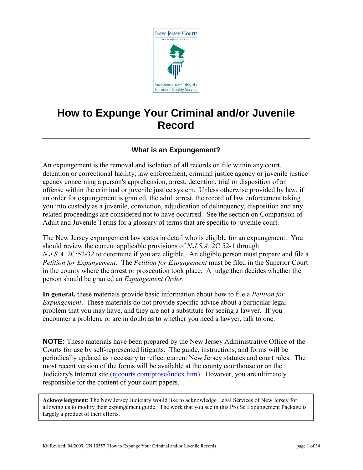

# **How to Expunge Your Criminal and/or Juvenile Record**

# **What is an Expungement?**

An expungement is the removal and isolation of all records on file within any court, detention or correctional facility, law enforcement, criminal justice agency or juvenile justice agency concerning a person's apprehension, arrest, detention, trial or disposition of an offense within the criminal or juvenile justice system. Unless otherwise provided by law, if an order for expungement is granted, the adult arrest, the record of law enforcement taking you into custody as a juvenile, conviction, adjudication of delinquency, disposition and any related proceedings are considered not to have occurred. See the section on Comparison of Adult and Juvenile Terms for a glossary of terms that are specific to juvenile court.

The New Jersey expungement law states in detail who is eligible for an expungement. You should review the current applicable provisions of *N.J.S.A.* 2C:52-1 through *N.J.S.A.* 2C:52-32 to determine if you are eligible. An eligible person must prepare and file a *Petition for Expungement*. The *Petition for Expungement* must be filed in the Superior Court in the county where the arrest or prosecution took place. A judge then decides whether the person should be granted an *Expungement Order*.

**In general,** these materials provide basic information about how to file a *Petition for Expungement*. These materials do not provide specific advice about a particular legal problem that you may have, and they are not a substitute for seeing a lawyer. If you encounter a problem, or are in doubt as to whether you need a lawyer, talk to one.

**NOTE:** These materials have been prepared by the New Jersey Administrative Office of the Courts for use by self-represented litigants. The guide, instructions, and forms will be periodically updated as necessary to reflect current New Jersey statutes and court rules. The most recent version of the forms will be available at the county courthouse or on the Judiciary's Internet site [\(njcourts.com/prose/index.htm\)](http://www.njcourts.com/prose/index.htm#criminal). However, you are ultimately responsible for the content of your court papers.

**Acknowledgment**: The New Jersey Judiciary would like to acknowledge Legal Services of New Jersey for allowing us to modify their expungement guide. The work that you see in this Pro Se Expungement Package is largely a product of their efforts.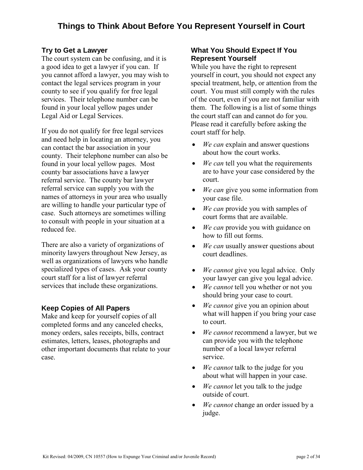# **Try to Get a Lawyer**

The court system can be confusing, and it is a good idea to get a lawyer if you can. If you cannot afford a lawyer, you may wish to contact the legal services program in your county to see if you qualify for free legal services. Their telephone number can be found in your local yellow pages under Legal Aid or Legal Services.

If you do not qualify for free legal services and need help in locating an attorney, you can contact the bar association in your county. Their telephone number can also be found in your local yellow pages. Most county bar associations have a lawyer referral service. The county bar lawyer referral service can supply you with the names of attorneys in your area who usually are willing to handle your particular type of case. Such attorneys are sometimes willing to consult with people in your situation at a reduced fee.

There are also a variety of organizations of minority lawyers throughout New Jersey, as well as organizations of lawyers who handle specialized types of cases. Ask your county court staff for a list of lawyer referral services that include these organizations.

# **Keep Copies of All Papers**

Make and keep for yourself copies of all completed forms and any canceled checks, money orders, sales receipts, bills, contract estimates, letters, leases, photographs and other important documents that relate to your case.

# **What You Should Expect If You Represent Yourself**

While you have the right to represent yourself in court, you should not expect any special treatment, help, or attention from the court. You must still comply with the rules of the court, even if you are not familiar with them. The following is a list of some things the court staff can and cannot do for you. Please read it carefully before asking the court staff for help.

- *We can* explain and answer questions about how the court works.
- We can tell you what the requirements are to have your case considered by the court.
- *We can* give you some information from your case file.
- We can provide you with samples of court forms that are available.
- We can provide you with guidance on how to fill out forms.
- We can usually answer questions about court deadlines.
- *We cannot* give you legal advice. Only your lawyer can give you legal advice.
- *We cannot* tell you whether or not you should bring your case to court.
- *We cannot* give you an opinion about what will happen if you bring your case to court.
- *We cannot* recommend a lawyer, but we can provide you with the telephone number of a local lawyer referral service.
- *We cannot* talk to the judge for you about what will happen in your case.
- We cannot let you talk to the judge outside of court.
- *We cannot* change an order issued by a judge.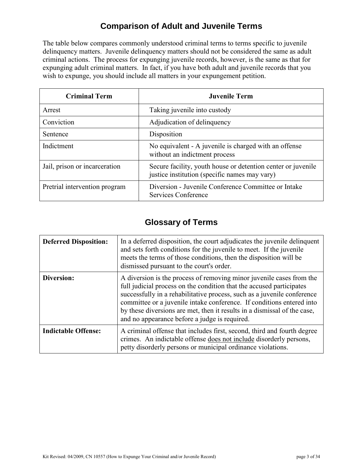# **Comparison of Adult and Juvenile Terms**

The table below compares commonly understood criminal terms to terms specific to juvenile delinquency matters. Juvenile delinquency matters should not be considered the same as adult criminal actions. The process for expunging juvenile records, however, is the same as that for expunging adult criminal matters. In fact, if you have both adult and juvenile records that you wish to expunge, you should include all matters in your expungement petition.

| <b>Criminal Term</b>          | <b>Juvenile Term</b>                                                                                          |  |
|-------------------------------|---------------------------------------------------------------------------------------------------------------|--|
| Arrest                        | Taking juvenile into custody                                                                                  |  |
| Conviction                    | Adjudication of delinquency                                                                                   |  |
| Sentence                      | Disposition                                                                                                   |  |
| Indictment                    | No equivalent - A juvenile is charged with an offense<br>without an indictment process                        |  |
| Jail, prison or incarceration | Secure facility, youth house or detention center or juvenile<br>justice institution (specific names may vary) |  |
| Pretrial intervention program | Diversion - Juvenile Conference Committee or Intake<br>Services Conference                                    |  |

# **Glossary of Terms**

| <b>Deferred Disposition:</b> | In a deferred disposition, the court adjudicates the juvenile delinquent<br>and sets forth conditions for the juvenile to meet. If the juvenile<br>meets the terms of those conditions, then the disposition will be<br>dismissed pursuant to the court's order.                                                                                                                                                              |
|------------------------------|-------------------------------------------------------------------------------------------------------------------------------------------------------------------------------------------------------------------------------------------------------------------------------------------------------------------------------------------------------------------------------------------------------------------------------|
| Diversion:                   | A diversion is the process of removing minor juvenile cases from the<br>full judicial process on the condition that the accused participates<br>successfully in a rehabilitative process, such as a juvenile conference<br>committee or a juvenile intake conference. If conditions entered into<br>by these diversions are met, then it results in a dismissal of the case,<br>and no appearance before a judge is required. |
| <b>Indictable Offense:</b>   | A criminal offense that includes first, second, third and fourth degree<br>crimes. An indictable offense does not include disorderly persons,<br>petty disorderly persons or municipal ordinance violations.                                                                                                                                                                                                                  |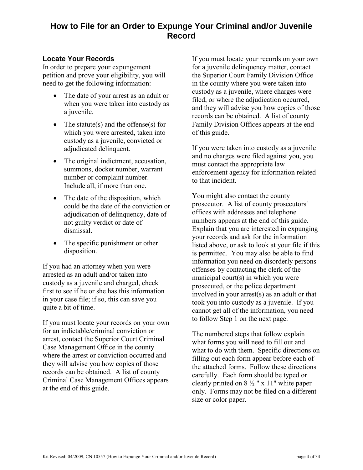# **How to File for an Order to Expunge Your Criminal and/or Juvenile Record**

## **Locate Your Records**

In order to prepare your expungement petition and prove your eligibility, you will need to get the following information:

- The date of your arrest as an adult or when you were taken into custody as a juvenile.
- The statute(s) and the offense(s) for which you were arrested, taken into custody as a juvenile, convicted or adjudicated delinquent.
- The original indictment, accusation, summons, docket number, warrant number or complaint number. Include all, if more than one.
- The date of the disposition, which could be the date of the conviction or adjudication of delinquency, date of not guilty verdict or date of dismissal.
- The specific punishment or other disposition.

If you had an attorney when you were arrested as an adult and/or taken into custody as a juvenile and charged, check first to see if he or she has this information in your case file; if so, this can save you quite a bit of time.

If you must locate your records on your own for an indictable/criminal conviction or arrest, contact the Superior Court Criminal Case Management Office in the county where the arrest or conviction occurred and they will advise you how copies of those records can be obtained. A list of county Criminal Case Management Offices appears at the end of this guide.

If you must locate your records on your own for a juvenile delinquency matter, contact the Superior Court Family Division Office in the county where you were taken into custody as a juvenile, where charges were filed, or where the adjudication occurred, and they will advise you how copies of those records can be obtained. A list of county Family Division Offices appears at the end of this guide.

If you were taken into custody as a juvenile and no charges were filed against you, you must contact the appropriate law enforcement agency for information related to that incident.

You might also contact the county prosecutor. A list of county prosecutors' offices with addresses and telephone numbers appears at the end of this guide. Explain that you are interested in expunging your records and ask for the information listed above, or ask to look at your file if this is permitted. You may also be able to find information you need on disorderly persons offenses by contacting the clerk of the municipal court(s) in which you were prosecuted, or the police department involved in your arrest(s) as an adult or that took you into custody as a juvenile. If you cannot get all of the information, you need to follow Step 1 on the next page.

The numbered steps that follow explain what forms you will need to fill out and what to do with them. Specific directions on filling out each form appear before each of the attached forms. Follow these directions carefully. Each form should be typed or clearly printed on  $8\frac{1}{2}$  " x 11" white paper only. Forms may not be filed on a different size or color paper.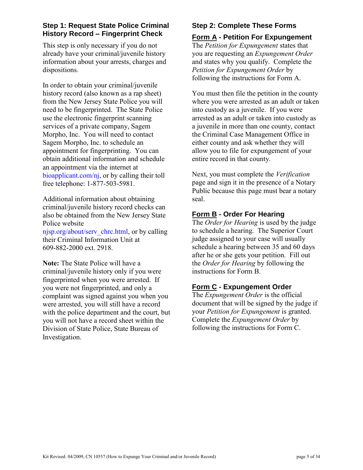# **Step 1: Request State Police Criminal History Record – Fingerprint Check**

This step is only necessary if you do not already have your criminal/juvenile history information about your arrests, charges and dispositions.

In order to obtain your criminal/juvenile history record (also known as a rap sheet) from the New Jersey State Police you will need to be fingerprinted. The State Police use the electronic fingerprint scanning services of a private company, Sagem Morpho, Inc. You will need to contact Sagem Morpho, Inc. to schedule an appointment for fingerprinting. You can obtain additional information and schedule an appointment via the internet at [bioapplicant.com/nj,](https://www.bioapplicant.com/nj) or by calling their toll free telephone: 1-877-503-5981.

Additional information about obtaining criminal/juvenile history record checks can also be obtained from the New Jersey State Police website

[njsp.org/about/serv\\_chrc.html,](http://njsp.org/about/serv_chrc.html) or by calling their Criminal Information Unit at 609-882-2000 ext. 2918.

**Note:** The State Police will have a criminal/juvenile history only if you were fingerprinted when you were arrested. If you were not fingerprinted, and only a complaint was signed against you when you were arrested, you will still have a record with the police department and the court, but you will not have a record sheet within the Division of State Police, State Bureau of Investigation.

# **Step 2: Complete These Forms**

**Form A - Petition For Expungement**  The *Petition for Expungement* states that you are requesting an *Expungement Order* and states why you qualify. Complete the *Petition for Expungement Order* by following the instructions for Form A.

You must then file the petition in the county where you were arrested as an adult or taken into custody as a juvenile. If you were arrested as an adult or taken into custody as a juvenile in more than one county, contact the Criminal Case Management Office in either county and ask whether they will allow you to file for expungement of your entire record in that county.

Next, you must complete the *Verification* page and sign it in the presence of a Notary Public because this page must bear a notary seal.

# **Form B - Order For Hearing**

The *Order for Hearing* is used by the judge to schedule a hearing. The Superior Court judge assigned to your case will usually schedule a hearing between 35 and 60 days after he or she gets your petition. Fill out the *Order for Hearing* by following the instructions for Form B.

# **Form C - Expungement Order**

The *Expungement Order* is the official document that will be signed by the judge if your *Petition for Expungement* is granted. Complete the *Expungement Order* by following the instructions for Form C.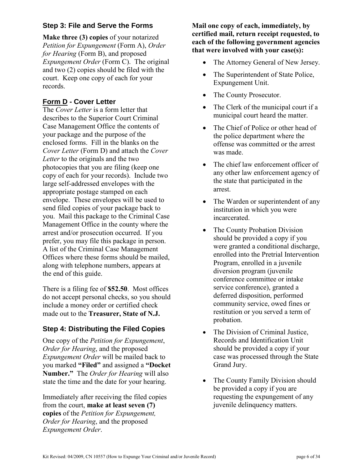# **Step 3: File and Serve the Forms**

**Make three (3) copies** of your notarized *Petition for Expungement* (Form A), *Order for Hearing* (Form B), and proposed *Expungement Order* (Form C). The original and two (2) copies should be filed with the court. Keep one copy of each for your records.

# **Form D - Cover Letter**

The *Cover Letter* is a form letter that describes to the Superior Court Criminal Case Management Office the contents of your package and the purpose of the enclosed forms. Fill in the blanks on the *Cover Letter* (Form D) and attach the *Cover Letter* to the originals and the two photocopies that you are filing (keep one copy of each for your records). Include two large self-addressed envelopes with the appropriate postage stamped on each envelope. These envelopes will be used to send filed copies of your package back to you. Mail this package to the Criminal Case Management Office in the county where the arrest and/or prosecution occurred. If you prefer, you may file this package in person. A list of the Criminal Case Management Offices where these forms should be mailed, along with telephone numbers, appears at the end of this guide.

There is a filing fee of **\$52.50**. Most offices do not accept personal checks, so you should include a money order or certified check made out to the **Treasurer, State of N.J.**

# **Step 4: Distributing the Filed Copies**

One copy of the *Petition for Expungement*, *Order for Hearing*, and the proposed *Expungement Order* will be mailed back to you marked **"Filed"** and assigned a **"Docket Number."** The *Order for Hearing* will also state the time and the date for your hearing.

Immediately after receiving the filed copies from the court, **make at least seven (7) copies** of the *Petition for Expungement, Order for Hearing*, and the proposed *Expungement Order*.

**Mail one copy of each, immediately, by certified mail, return receipt requested, to each of the following government agencies that were involved with your case(s):** 

- The Attorney General of New Jersey.
- The Superintendent of State Police, Expungement Unit.
- The County Prosecutor.
- The Clerk of the municipal court if a municipal court heard the matter.
- The Chief of Police or other head of the police department where the offense was committed or the arrest was made.
- The chief law enforcement officer of any other law enforcement agency of the state that participated in the arrest.
- The Warden or superintendent of any institution in which you were incarcerated.
- The County Probation Division should be provided a copy if you were granted a conditional discharge, enrolled into the Pretrial Intervention Program, enrolled in a juvenile diversion program (juvenile conference committee or intake service conference), granted a deferred disposition, performed community service, owed fines or restitution or you served a term of probation.
- The Division of Criminal Justice, Records and Identification Unit should be provided a copy if your case was processed through the State Grand Jury.
- The County Family Division should be provided a copy if you are requesting the expungement of any juvenile delinquency matters.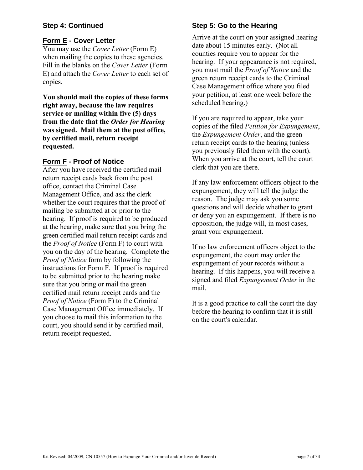## **Step 4: Continued**

## **Form E - Cover Letter**

You may use the *Cover Letter* (Form E) when mailing the copies to these agencies. Fill in the blanks on the *Cover Letter* (Form E) and attach the *Cover Letter* to each set of copies.

**You should mail the copies of these forms right away, because the law requires service or mailing within five (5) days from the date that the** *Order for Hearing* **was signed. Mail them at the post office, by certified mail, return receipt requested.** 

## **Form F - Proof of Notice**

After you have received the certified mail return receipt cards back from the post office, contact the Criminal Case Management Office, and ask the clerk whether the court requires that the proof of mailing be submitted at or prior to the hearing. If proof is required to be produced at the hearing, make sure that you bring the green certified mail return receipt cards and the *Proof of Notice* (Form F) to court with you on the day of the hearing. Complete the *Proof of Notice* form by following the instructions for Form F. If proof is required to be submitted prior to the hearing make sure that you bring or mail the green certified mail return receipt cards and the *Proof of Notice* (Form F) to the Criminal Case Management Office immediately. If you choose to mail this information to the court, you should send it by certified mail, return receipt requested.

# **Step 5: Go to the Hearing**

Arrive at the court on your assigned hearing date about 15 minutes early. (Not all counties require you to appear for the hearing. If your appearance is not required, you must mail the *Proof of Notice* and the green return receipt cards to the Criminal Case Management office where you filed your petition, at least one week before the scheduled hearing.)

If you are required to appear, take your copies of the filed *Petition for Expungement*, the *Expungement Order*, and the green return receipt cards to the hearing (unless you previously filed them with the court). When you arrive at the court, tell the court clerk that you are there.

If any law enforcement officers object to the expungement, they will tell the judge the reason. The judge may ask you some questions and will decide whether to grant or deny you an expungement. If there is no opposition, the judge will, in most cases, grant your expungement.

If no law enforcement officers object to the expungement, the court may order the expungement of your records without a hearing. If this happens, you will receive a signed and filed *Expungement Order* in the mail.

It is a good practice to call the court the day before the hearing to confirm that it is still on the court's calendar.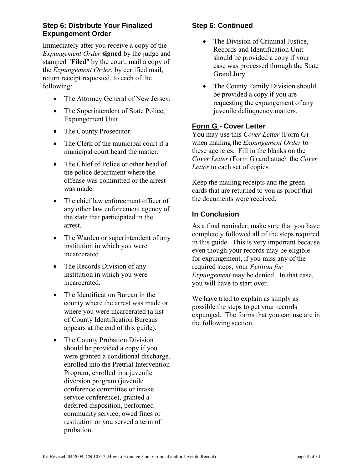## **Step 6: Distribute Your Finalized Expungement Order**

Immediately after you receive a copy of the *Expungement Order* **signed** by the judge and stamped "**Filed**" by the court, mail a copy of the *Expungement Order*, by certified mail, return receipt requested, to each of the following:

- The Attorney General of New Jersey.
- The Superintendent of State Police, Expungement Unit.
- The County Prosecutor.
- The Clerk of the municipal court if a municipal court heard the matter.
- The Chief of Police or other head of the police department where the offense was committed or the arrest was made.
- The chief law enforcement officer of any other law enforcement agency of the state that participated in the arrest.
- The Warden or superintendent of any institution in which you were incarcerated.
- The Records Division of any institution in which you were incarcerated.
- The Identification Bureau in the county where the arrest was made or where you were incarcerated (a list of County Identification Bureaus appears at the end of this guide).
- The County Probation Division should be provided a copy if you were granted a conditional discharge, enrolled into the Pretrial Intervention Program, enrolled in a juvenile diversion program (juvenile conference committee or intake service conference), granted a deferred disposition, performed community service, owed fines or restitution or you served a term of probation.

# **Step 6: Continued**

- The Division of Criminal Justice, Records and Identification Unit should be provided a copy if your case was processed through the State Grand Jury
- The County Family Division should be provided a copy if you are requesting the expungement of any juvenile delinquency matters.

# **Form G - Cover Letter**

You may use this *Cover Letter* (Form G) when mailing the *Expungement Order* to these agencies. Fill in the blanks on the *Cover Letter* (Form G) and attach the *Cover Letter* to each set of copies.

Keep the mailing receipts and the green cards that are returned to you as proof that the documents were received.

## **In Conclusion**

As a final reminder, make sure that you have completely followed all of the steps required in this guide. This is very important because even though your records may be eligible for expungement, if you miss any of the required steps, your *Petition for Expungement* may be denied. In that case, you will have to start over.

We have tried to explain as simply as possible the steps to get your records expunged. The forms that you can use are in the following section.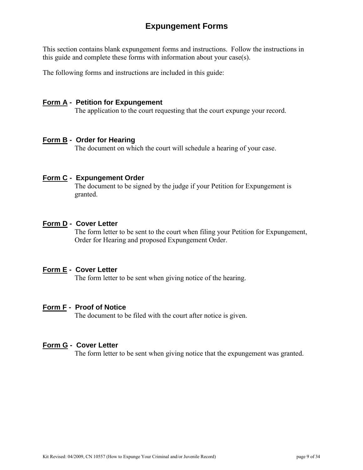# **Expungement Forms**

This section contains blank expungement forms and instructions. Follow the instructions in this guide and complete these forms with information about your case(s).

The following forms and instructions are included in this guide:

#### **Form A - Petition for Expungement**

The application to the court requesting that the court expunge your record.

#### **Form B - Order for Hearing**

The document on which the court will schedule a hearing of your case.

#### **Form C - Expungement Order**

The document to be signed by the judge if your Petition for Expungement is granted.

#### **Form D - Cover Letter**

The form letter to be sent to the court when filing your Petition for Expungement, Order for Hearing and proposed Expungement Order.

#### **Form E - Cover Letter**

The form letter to be sent when giving notice of the hearing.

#### **Form F - Proof of Notice**

The document to be filed with the court after notice is given.

#### **Form G - Cover Letter**

The form letter to be sent when giving notice that the expungement was granted.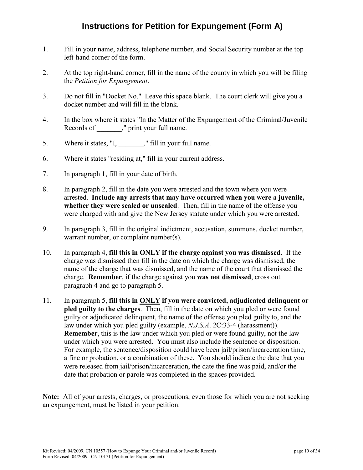# **Instructions for Petition for Expungement (Form A)**

- 1. Fill in your name, address, telephone number, and Social Security number at the top left-hand corner of the form.
- 2. At the top right-hand corner, fill in the name of the county in which you will be filing the *Petition for Expungement*.
- 3. Do not fill in "Docket No." Leave this space blank. The court clerk will give you a docket number and will fill in the blank.
- 4. In the box where it states "In the Matter of the Expungement of the Criminal/Juvenile Records of  $\qquad$ ," print your full name.
- 5. Where it states, "I, \_\_\_\_\_\_\_," fill in your full name.
- 6. Where it states "residing at," fill in your current address.
- 7. In paragraph 1, fill in your date of birth.
- 8. In paragraph 2, fill in the date you were arrested and the town where you were arrested. **Include any arrests that may have occurred when you were a juvenile, whether they were sealed or unsealed**. Then, fill in the name of the offense you were charged with and give the New Jersey statute under which you were arrested.
- 9. In paragraph 3, fill in the original indictment, accusation, summons, docket number, warrant number, or complaint number(s).
- 10. In paragraph 4, **fill this in ONLY if the charge against you was dismissed**. If the charge was dismissed then fill in the date on which the charge was dismissed, the name of the charge that was dismissed, and the name of the court that dismissed the charge. **Remember**, if the charge against you **was not dismissed**, cross out paragraph 4 and go to paragraph 5.
- 11. In paragraph 5, **fill this in ONLY if you were convicted, adjudicated delinquent or pled guilty to the charges**. Then, fill in the date on which you pled or were found guilty or adjudicated delinquent, the name of the offense you pled guilty to, and the law under which you pled guilty (example, *N.J.S.A*. 2C:33-4 (harassment)). **Remember**, this is the law under which you pled or were found guilty, not the law under which you were arrested. You must also include the sentence or disposition. For example, the sentence/disposition could have been jail/prison/incarceration time, a fine or probation, or a combination of these. You should indicate the date that you were released from jail/prison/incarceration, the date the fine was paid, and/or the date that probation or parole was completed in the spaces provided.

**Note:** All of your arrests, charges, or prosecutions, even those for which you are not seeking an expungement, must be listed in your petition.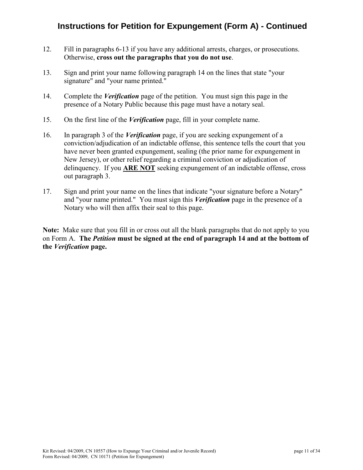# **Instructions for Petition for Expungement (Form A) - Continued**

- 12. Fill in paragraphs 6-13 if you have any additional arrests, charges, or prosecutions. Otherwise, **cross out the paragraphs that you do not use**.
- 13. Sign and print your name following paragraph 14 on the lines that state "your signature" and "your name printed."
- 14. Complete the *Verification* page of the petition. You must sign this page in the presence of a Notary Public because this page must have a notary seal.
- 15. On the first line of the *Verification* page, fill in your complete name.
- 16. In paragraph 3 of the *Verification* page, if you are seeking expungement of a conviction/adjudication of an indictable offense, this sentence tells the court that you have never been granted expungement, sealing (the prior name for expungement in New Jersey), or other relief regarding a criminal conviction or adjudication of delinquency. If you **ARE NOT** seeking expungement of an indictable offense, cross out paragraph 3.
- 17. Sign and print your name on the lines that indicate "your signature before a Notary" and "your name printed." You must sign this *Verification* page in the presence of a Notary who will then affix their seal to this page.

**Note:** Make sure that you fill in or cross out all the blank paragraphs that do not apply to you on Form A. **The** *Petition* **must be signed at the end of paragraph 14 and at the bottom of the** *Verification* **page.**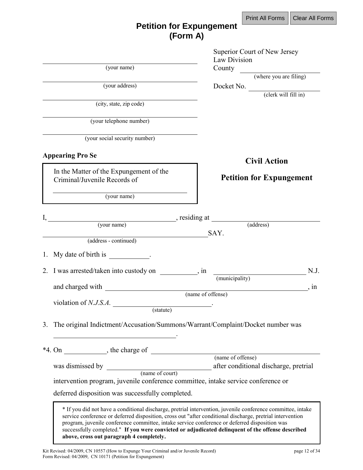# **Petition for Expungement (Form A)**

| (your name)                                                                                                                               | Superior Court of New Jersey<br>Law Division                                                                                                                                                                                                                                                                                  |
|-------------------------------------------------------------------------------------------------------------------------------------------|-------------------------------------------------------------------------------------------------------------------------------------------------------------------------------------------------------------------------------------------------------------------------------------------------------------------------------|
|                                                                                                                                           | County<br>(where you are filing)                                                                                                                                                                                                                                                                                              |
| (your address)                                                                                                                            | Docket No. (clerk will fill in)                                                                                                                                                                                                                                                                                               |
| (city, state, zip code)                                                                                                                   |                                                                                                                                                                                                                                                                                                                               |
| (your telephone number)                                                                                                                   |                                                                                                                                                                                                                                                                                                                               |
| (your social security number)                                                                                                             |                                                                                                                                                                                                                                                                                                                               |
| <b>Appearing Pro Se</b>                                                                                                                   | <b>Civil Action</b>                                                                                                                                                                                                                                                                                                           |
| In the Matter of the Expungement of the<br>Criminal/Juvenile Records of                                                                   | <b>Petition for Expungement</b>                                                                                                                                                                                                                                                                                               |
| (your name)                                                                                                                               |                                                                                                                                                                                                                                                                                                                               |
|                                                                                                                                           |                                                                                                                                                                                                                                                                                                                               |
|                                                                                                                                           |                                                                                                                                                                                                                                                                                                                               |
| (address - continued)                                                                                                                     | SAY.                                                                                                                                                                                                                                                                                                                          |
| 1. My date of birth is .                                                                                                                  |                                                                                                                                                                                                                                                                                                                               |
| 2. I was arrested/taken into custody on , in                                                                                              | N.J.<br>(municipality)                                                                                                                                                                                                                                                                                                        |
|                                                                                                                                           | . In                                                                                                                                                                                                                                                                                                                          |
|                                                                                                                                           | (name of offense)                                                                                                                                                                                                                                                                                                             |
| (statute)                                                                                                                                 |                                                                                                                                                                                                                                                                                                                               |
| 3. The original Indictment/Accusation/Summons/Warrant/Complaint/Docket number was                                                         |                                                                                                                                                                                                                                                                                                                               |
|                                                                                                                                           |                                                                                                                                                                                                                                                                                                                               |
|                                                                                                                                           |                                                                                                                                                                                                                                                                                                                               |
| was dismissed by $\frac{1}{\frac{1}{\tan x} \cdot \tan x}$                                                                                | after conditional discharge, pretrial                                                                                                                                                                                                                                                                                         |
| intervention program, juvenile conference committee, intake service conference or                                                         |                                                                                                                                                                                                                                                                                                                               |
| deferred disposition was successfully completed.                                                                                          |                                                                                                                                                                                                                                                                                                                               |
| program, juvenile conference committee, intake service conference or deferred disposition was<br>above, cross out paragraph 4 completely. | * If you did not have a conditional discharge, pretrial intervention, juvenile conference committee, intake<br>service conference or deferred disposition, cross out "after conditional discharge, pretrial intervention<br>successfully completed." If you were convicted or adjudicated delinquent of the offense described |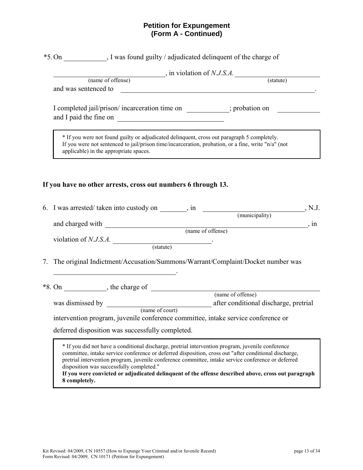#### **Petition for Expungement (Form A - Continued)**

|    | *5. On , I was found guilty / adjudicated delinquent of the charge of                                                                                                                                                                                                                                                                                                                                                                                                |
|----|----------------------------------------------------------------------------------------------------------------------------------------------------------------------------------------------------------------------------------------------------------------------------------------------------------------------------------------------------------------------------------------------------------------------------------------------------------------------|
|    | $\frac{1}{\text{(name of of fense)}}$ , in violation of <i>N.J.S.A</i> . (statute)                                                                                                                                                                                                                                                                                                                                                                                   |
|    |                                                                                                                                                                                                                                                                                                                                                                                                                                                                      |
|    | and was sentenced to<br><u> 1980 - John Stein, Amerikaansk politiker (* 1950)</u>                                                                                                                                                                                                                                                                                                                                                                                    |
|    | I completed jail/prison/ incarceration time on ___________; probation on ________                                                                                                                                                                                                                                                                                                                                                                                    |
|    | * If you were not found guilty or adjudicated delinquent, cross out paragraph 5 completely.<br>If you were not sentenced to jail/prison time/incarceration, probation, or a fine, write "n/a" (not<br>applicable) in the appropriate spaces.                                                                                                                                                                                                                         |
|    | If you have no other arrests, cross out numbers 6 through 13.                                                                                                                                                                                                                                                                                                                                                                                                        |
|    |                                                                                                                                                                                                                                                                                                                                                                                                                                                                      |
|    | , in                                                                                                                                                                                                                                                                                                                                                                                                                                                                 |
|    | and charged with (name of offense)                                                                                                                                                                                                                                                                                                                                                                                                                                   |
|    | violation of $N.J.S.A.$ (statute)                                                                                                                                                                                                                                                                                                                                                                                                                                    |
|    |                                                                                                                                                                                                                                                                                                                                                                                                                                                                      |
| 7. | The original Indictment/Accusation/Summons/Warrant/Complaint/Docket number was<br><u> 1989 - Johann Stoff, Amerikaansk politiker († 1908)</u>                                                                                                                                                                                                                                                                                                                        |
|    |                                                                                                                                                                                                                                                                                                                                                                                                                                                                      |
|    |                                                                                                                                                                                                                                                                                                                                                                                                                                                                      |
|    |                                                                                                                                                                                                                                                                                                                                                                                                                                                                      |
|    | intervention program, juvenile conference committee, intake service conference or                                                                                                                                                                                                                                                                                                                                                                                    |
|    |                                                                                                                                                                                                                                                                                                                                                                                                                                                                      |
|    | deferred disposition was successfully completed.                                                                                                                                                                                                                                                                                                                                                                                                                     |
|    | * If you did not have a conditional discharge, pretrial intervention program, juvenile conference<br>committee, intake service conference or deferred disposition, cross out "after conditional discharge,<br>pretrial intervention program, juvenile conference committee, intake service conference or deferred<br>disposition was successfully completed."<br>If you were convicted or adjudicated delinguent of the offense described above, cross out paragraph |

**If you were convicted or adjudicated delinquent of the offense described above, cross out paragraph 8 completely.**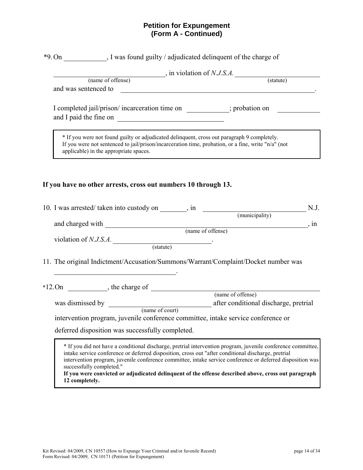#### **Petition for Expungement (Form A - Continued)**

|                | *9. On , I was found guilty / adjudicated delinquent of the charge of                                                                                                                                                                        |                                                                                                                                                                                                                                                                                                                                   |
|----------------|----------------------------------------------------------------------------------------------------------------------------------------------------------------------------------------------------------------------------------------------|-----------------------------------------------------------------------------------------------------------------------------------------------------------------------------------------------------------------------------------------------------------------------------------------------------------------------------------|
|                |                                                                                                                                                                                                                                              |                                                                                                                                                                                                                                                                                                                                   |
|                |                                                                                                                                                                                                                                              | $(name of theorem)$ , in violation of <i>N.J.S.A</i> . (statute) (statute)<br>and was sentenced to question of the contract of the contract of the contract of the contract of the contract of the contract of the contract of the contract of the contract of the contract of the contract of the contract                       |
|                |                                                                                                                                                                                                                                              | I completed jail/prison/ incarceration time on ___________; probation on ________                                                                                                                                                                                                                                                 |
|                | * If you were not found guilty or adjudicated delinquent, cross out paragraph 9 completely.<br>If you were not sentenced to jail/prison/incarceration time, probation, or a fine, write "n/a" (not<br>applicable) in the appropriate spaces. |                                                                                                                                                                                                                                                                                                                                   |
|                | If you have no other arrests, cross out numbers 10 through 13.                                                                                                                                                                               |                                                                                                                                                                                                                                                                                                                                   |
|                |                                                                                                                                                                                                                                              | 10. I was arrested/ taken into custody on _______, in $\frac{10}{(municipality)}$ N.J.                                                                                                                                                                                                                                            |
|                |                                                                                                                                                                                                                                              | and charged with (name of offense)<br>, in                                                                                                                                                                                                                                                                                        |
|                | violation of $N.J.S.A.$ (statute)                                                                                                                                                                                                            |                                                                                                                                                                                                                                                                                                                                   |
|                | <u> 1989 - Johann Stoff, Amerikaansk politiker († 1908)</u>                                                                                                                                                                                  | 11. The original Indictment/Accusation/Summons/Warrant/Complaint/Docket number was                                                                                                                                                                                                                                                |
|                |                                                                                                                                                                                                                                              | $*12. On$ , the charge of $\overline{\qquad}$ (name of offense)                                                                                                                                                                                                                                                                   |
|                |                                                                                                                                                                                                                                              |                                                                                                                                                                                                                                                                                                                                   |
|                | intervention program, juvenile conference committee, intake service conference or<br>deferred disposition was successfully completed.                                                                                                        |                                                                                                                                                                                                                                                                                                                                   |
| 12 completely. | intake service conference or deferred disposition, cross out "after conditional discharge, pretrial<br>successfully completed."                                                                                                              | * If you did not have a conditional discharge, pretrial intervention program, juvenile conference committee,<br>intervention program, juvenile conference committee, intake service conference or deferred disposition was<br>If you were convicted or adjudicated delinquent of the offense described above, cross out paragraph |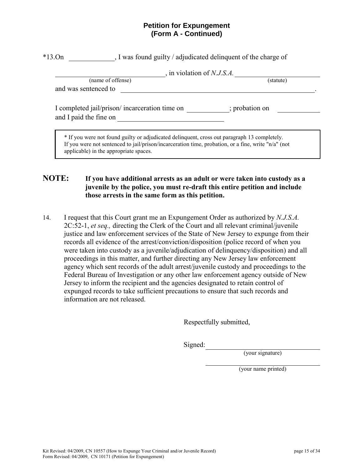#### **Petition for Expungement (Form A - Continued)**

|                                                                          | , in violation of $N.J.S.A$ . |
|--------------------------------------------------------------------------|-------------------------------|
| (name of offense)                                                        | (statute)                     |
| and was sentenced to                                                     |                               |
|                                                                          |                               |
| I completed jail/prison/ incarceration time on<br>and I paid the fine on | ; probation on                |
|                                                                          |                               |

## **NOTE: If you have additional arrests as an adult or were taken into custody as a juvenile by the police, you must re-draft this entire petition and include those arrests in the same form as this petition.**

14. I request that this Court grant me an Expungement Order as authorized by *N.J.S.A.* 2C:52-1, *et seq.,* directing the Clerk of the Court and all relevant criminal/juvenile justice and law enforcement services of the State of New Jersey to expunge from their records all evidence of the arrest/conviction/disposition (police record of when you were taken into custody as a juvenile/adjudication of delinquency/disposition) and all proceedings in this matter, and further directing any New Jersey law enforcement agency which sent records of the adult arrest/juvenile custody and proceedings to the Federal Bureau of Investigation or any other law enforcement agency outside of New Jersey to inform the recipient and the agencies designated to retain control of expunged records to take sufficient precautions to ensure that such records and information are not released.

Respectfully submitted,

Signed:

(your signature)

(your name printed)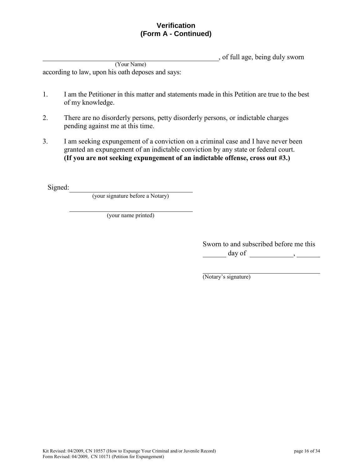## **Verification (Form A - Continued)**

, of full age, being duly sworn

(Your Name) according to law, upon his oath deposes and says:

- 1. I am the Petitioner in this matter and statements made in this Petition are true to the best of my knowledge.
- 2. There are no disorderly persons, petty disorderly persons, or indictable charges pending against me at this time.
- 3. I am seeking expungement of a conviction on a criminal case and I have never been granted an expungement of an indictable conviction by any state or federal court. **(If you are not seeking expungement of an indictable offense, cross out #3.)**

Signed:

(your signature before a Notary)

(your name printed)

Sworn to and subscribed before me this  $\frac{day \text{ of }$ 

(Notary's signature)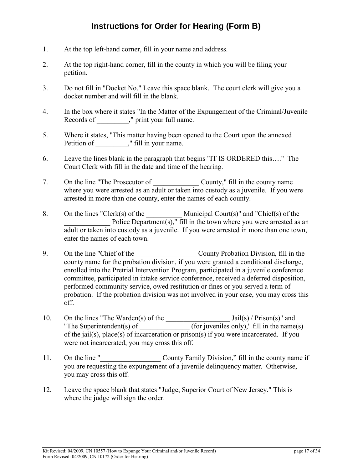# **Instructions for Order for Hearing (Form B)**

- 1. At the top left-hand corner, fill in your name and address.
- 2. At the top right-hand corner, fill in the county in which you will be filing your petition.
- 3. Do not fill in "Docket No." Leave this space blank. The court clerk will give you a docket number and will fill in the blank.
- 4. In the box where it states "In the Matter of the Expungement of the Criminal/Juvenile Records of  $\hspace{1cm}$ ," print your full name.
- 5. Where it states, "This matter having been opened to the Court upon the annexed Petition of  $\hspace{1cm}$ ," fill in your name.
- 6. Leave the lines blank in the paragraph that begins "IT IS ORDERED this…." The Court Clerk with fill in the date and time of the hearing.
- 7. On the line "The Prosecutor of \_\_\_\_\_\_\_\_\_\_\_\_\_ County," fill in the county name where you were arrested as an adult or taken into custody as a juvenile. If you were arrested in more than one county, enter the names of each county.
- 8. On the lines "Clerk(s) of the Municipal Court(s)" and "Chief(s) of the Police Department(s)," fill in the town where you were arrested as an adult or taken into custody as a juvenile. If you were arrested in more than one town, enter the names of each town.
- 9. On the line "Chief of the County Probation Division, fill in the county name for the probation division, if you were granted a conditional discharge, enrolled into the Pretrial Intervention Program, participated in a juvenile conference committee, participated in intake service conference, received a deferred disposition, performed community service, owed restitution or fines or you served a term of probation. If the probation division was not involved in your case, you may cross this off.
- 10. On the lines "The Warden(s) of the \_\_\_\_\_\_\_\_\_\_\_\_\_\_\_\_\_\_ Jail(s) / Prison(s)" and "The Superintendent(s) of  $($ for juveniles only)," fill in the name(s) of the jail(s), place(s) of incarceration or prison(s) if you were incarcerated. If you were not incarcerated, you may cross this off.
- 11. On the line " County Family Division," fill in the county name if you are requesting the expungement of a juvenile delinquency matter. Otherwise, you may cross this off.
- 12. Leave the space blank that states "Judge, Superior Court of New Jersey." This is where the judge will sign the order.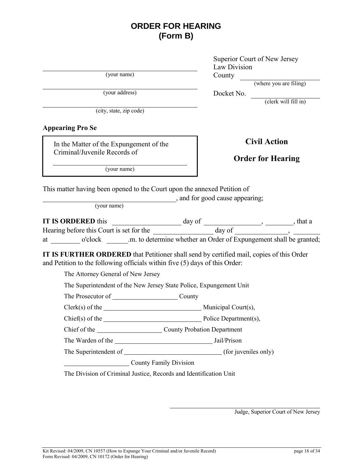# **ORDER FOR HEARING (Form B)**

(your name) County

(city, state, zip code)

**Appearing Pro Se**

In the Matter of the Expungement of the Criminal/Juvenile Records of

Superior Court of New Jersey Law Division 

(where you are filing)

(your address) Docket No.

(clerk will fill in)

**Civil Action**

# **Order for Hearing**

(your name)

This matter having been opened to the Court upon the annexed Petition of

, and for good cause appearing;

(your name)

|    | <b>IT IS ORDERED this</b>                | day of                                                             | that a |
|----|------------------------------------------|--------------------------------------------------------------------|--------|
|    | Hearing before this Court is set for the | day of                                                             |        |
| at | o'clock                                  | .m. to determine whether an Order of Expungement shall be granted; |        |

**IT IS FURTHER ORDERED** that Petitioner shall send by certified mail, copies of this Order and Petition to the following officials within five (5) days of this Order:

The Attorney General of New Jersey

The Superintendent of the New Jersey State Police, Expungement Unit

The Prosecutor of County

Clerk(s) of the Municipal Court(s),

Chief(s) of the <u>Chief(s)</u> of the Police Department(s),

Chief of the County Probation Department

The Warden of the Jail/Prison

The Superintendent of (for juveniles only)

County Family Division

The Division of Criminal Justice, Records and Identification Unit

Judge, Superior Court of New Jersey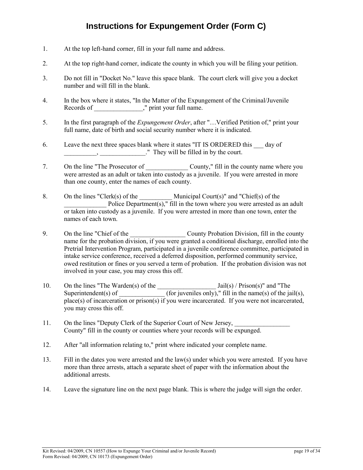# **Instructions for Expungement Order (Form C)**

- 1. At the top left-hand corner, fill in your full name and address.
- 2. At the top right-hand corner, indicate the county in which you will be filing your petition.
- 3. Do not fill in "Docket No." leave this space blank. The court clerk will give you a docket number and will fill in the blank.
- 4. In the box where it states, "In the Matter of the Expungement of the Criminal/Juvenile Records of  $\hspace{1cm}$ ," print your full name.
- 5. In the first paragraph of the *Expungement Order*, after "…Verified Petition of," print your full name, date of birth and social security number where it is indicated.
- 6. Leave the next three spaces blank where it states "IT IS ORDERED this day of They will be filled in by the court.
- 7. On the line "The Prosecutor of County," fill in the county name where you were arrested as an adult or taken into custody as a juvenile. If you were arrested in more than one county, enter the names of each county.
- 8. On the lines "Clerk(s) of the  $\blacksquare$  Municipal Court(s)" and "Chief(s) of the Police Department(s)," fill in the town where you were arrested as an adult or taken into custody as a juvenile. If you were arrested in more than one town, enter the names of each town.
- 9. On the line "Chief of the County Probation Division, fill in the county name for the probation division, if you were granted a conditional discharge, enrolled into the Pretrial Intervention Program, participated in a juvenile conference committee, participated in intake service conference, received a deferred disposition, performed community service, owed restitution or fines or you served a term of probation. If the probation division was not involved in your case, you may cross this off.
- 10. On the lines "The Warden(s) of the Letter States and Islam Jail(s) / Prison(s)" and "The Superintendent(s) of  $\qquad \qquad$  (for juveniles only)," fill in the name(s) of the jail(s), place(s) of incarceration or prison(s) if you were incarcerated. If you were not incarcerated, you may cross this off.
- 11. On the lines "Deputy Clerk of the Superior Court of New Jersey, County" fill in the county or counties where your records will be expunged.
- 12. After "all information relating to," print where indicated your complete name.
- 13. Fill in the dates you were arrested and the law(s) under which you were arrested. If you have more than three arrests, attach a separate sheet of paper with the information about the additional arrests.
- 14. Leave the signature line on the next page blank. This is where the judge will sign the order.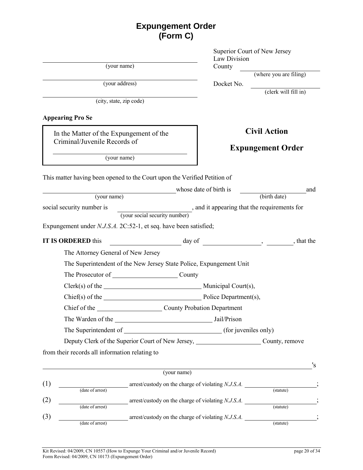| <b>Expungement Order</b> |
|--------------------------|
| (Form C)                 |

(your name) County

(your address) Docket No.

(city, state, zip code)

## **Appearing Pro Se**

In the Matter of the Expungement of the Criminal/Juvenile Records of

Superior Court of New Jersey Law Division

(where you are filing)

(clerk will fill in)

# **Civil Action**

# **Expungement Order**

(your name)

| This matter having been opened to the Court upon the Verified Petition of |
|---------------------------------------------------------------------------|
|---------------------------------------------------------------------------|

|                                                                         | whose date of birth is                                              | and          |
|-------------------------------------------------------------------------|---------------------------------------------------------------------|--------------|
| (your name)                                                             |                                                                     | (birth date) |
| social security number is                                               | , and it appearing that the requirements for                        |              |
|                                                                         | (your social security number)                                       |              |
| Expungement under <i>N.J.S.A.</i> 2C:52-1, et seq. have been satisfied; |                                                                     |              |
| <b>IT IS ORDERED</b> this                                               | day of                                                              | , that the   |
| The Attorney General of New Jersey                                      |                                                                     |              |
|                                                                         | The Superintendent of the New Jersey State Police, Expungement Unit |              |
| The Prosecutor of County                                                |                                                                     |              |
|                                                                         |                                                                     |              |
|                                                                         |                                                                     |              |
|                                                                         | Chief of the County Probation Department                            |              |
|                                                                         |                                                                     |              |
|                                                                         |                                                                     |              |
|                                                                         | Deputy Clerk of the Superior Court of New Jersey, County, remove    |              |
| from their records all information relating to                          |                                                                     |              |
|                                                                         |                                                                     | 's           |

|                  |                                                    |           | 's |
|------------------|----------------------------------------------------|-----------|----|
|                  | (your name)                                        |           |    |
|                  | arrest/custody on the charge of violating N.J.S.A. |           |    |
| (date of arrest) |                                                    | (statute) |    |
|                  | arrest/custody on the charge of violating N.J.S.A. |           |    |
| (date of arrest) |                                                    | (statute) |    |
|                  | arrest/custody on the charge of violating N.J.S.A. |           |    |
| (date of arrest) |                                                    | (statute) |    |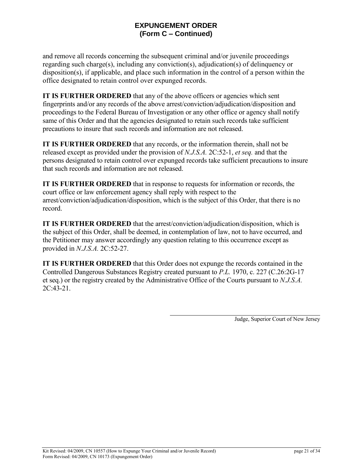# **EXPUNGEMENT ORDER (Form C – Continued)**

and remove all records concerning the subsequent criminal and/or juvenile proceedings regarding such charge(s), including any conviction(s), adjudication(s) of delinquency or disposition(s), if applicable, and place such information in the control of a person within the office designated to retain control over expunged records.

**IT IS FURTHER ORDERED** that any of the above officers or agencies which sent fingerprints and/or any records of the above arrest/conviction/adjudication/disposition and proceedings to the Federal Bureau of Investigation or any other office or agency shall notify same of this Order and that the agencies designated to retain such records take sufficient precautions to insure that such records and information are not released.

**IT IS FURTHER ORDERED** that any records, or the information therein, shall not be released except as provided under the provision of *N.J.S.A.* 2C:52-1, *et seq.* and that the persons designated to retain control over expunged records take sufficient precautions to insure that such records and information are not released.

**IT IS FURTHER ORDERED** that in response to requests for information or records, the court office or law enforcement agency shall reply with respect to the arrest/conviction/adjudication/disposition, which is the subject of this Order, that there is no record.

**IT IS FURTHER ORDERED** that the arrest/conviction/adjudication/disposition, which is the subject of this Order, shall be deemed, in contemplation of law, not to have occurred, and the Petitioner may answer accordingly any question relating to this occurrence except as provided in *N.J.S.A.* 2C:52-27.

**IT IS FURTHER ORDERED** that this Order does not expunge the records contained in the Controlled Dangerous Substances Registry created pursuant to *P.L.* 1970, c. 227 (C.26:2G-17 et seq.) or the registry created by the Administrative Office of the Courts pursuant to *N.J.S.A.* 2C:43-21.

Judge, Superior Court of New Jersey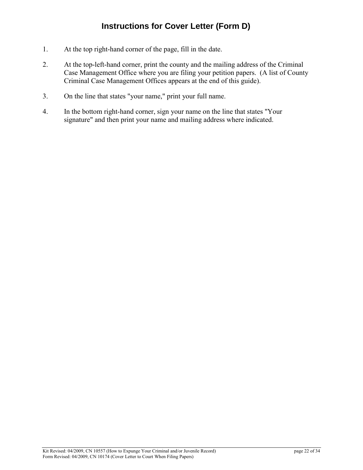- 1. At the top right-hand corner of the page, fill in the date.
- 2. At the top-left-hand corner, print the county and the mailing address of the Criminal Case Management Office where you are filing your petition papers. (A list of County Criminal Case Management Offices appears at the end of this guide).
- 3. On the line that states "your name," print your full name.
- 4. In the bottom right-hand corner, sign your name on the line that states "Your signature" and then print your name and mailing address where indicated.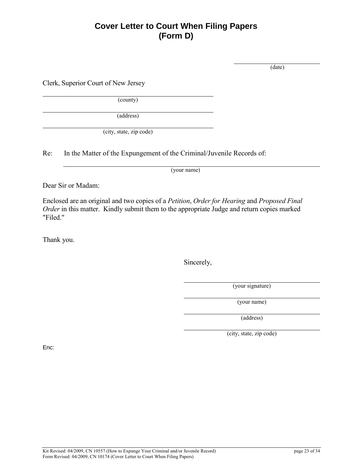# **Cover Letter to Court When Filing Papers (Form D)**

(date)

Clerk, Superior Court of New Jersey

(county)

(address)

(city, state, zip code)

Re: In the Matter of the Expungement of the Criminal/Juvenile Records of:

(your name)

Dear Sir or Madam:

Enclosed are an original and two copies of a *Petition*, *Order for Hearing* and *Proposed Final Order* in this matter. Kindly submit them to the appropriate Judge and return copies marked "Filed."

Thank you.

Sincerely,

(your signature)

(your name)

(address)

(city, state, zip code)

Enc: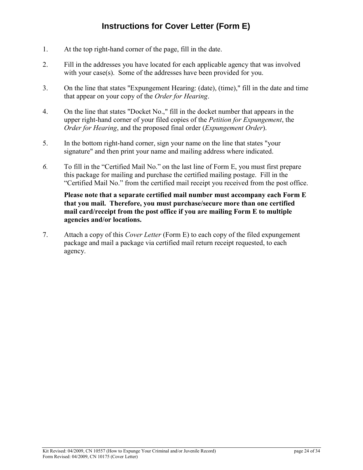# **Instructions for Cover Letter (Form E)**

- 1. At the top right-hand corner of the page, fill in the date.
- 2. Fill in the addresses you have located for each applicable agency that was involved with your case(s). Some of the addresses have been provided for you.
- 3. On the line that states "Expungement Hearing: (date), (time)," fill in the date and time that appear on your copy of the *Order for Hearing*.
- 4. On the line that states "Docket No.," fill in the docket number that appears in the upper right-hand corner of your filed copies of the *Petition for Expungement*, the *Order for Hearing*, and the proposed final order (*Expungement Order*).
- 5. In the bottom right-hand corner, sign your name on the line that states "your signature" and then print your name and mailing address where indicated.
- *6.* To fill in the "Certified Mail No." on the last line of Form E, you must first prepare this package for mailing and purchase the certified mailing postage. Fill in the "Certified Mail No." from the certified mail receipt you received from the post office.

**Please note that a separate certified mail number must accompany each Form E that you mail. Therefore, you must purchase/secure more than one certified mail card/receipt from the post office if you are mailing Form E to multiple agencies and/or locations.**

7. Attach a copy of this *Cover Letter* (Form E) to each copy of the filed expungement package and mail a package via certified mail return receipt requested, to each agency.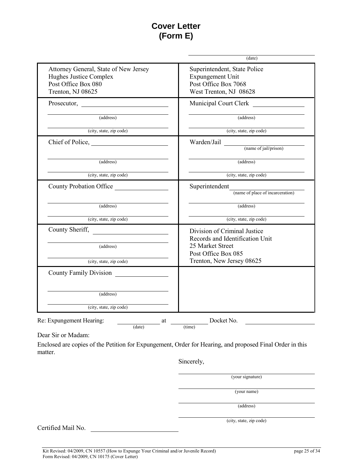# **Cover Letter (Form E)**

|                                                                                                             | (date)                                                                                                     |
|-------------------------------------------------------------------------------------------------------------|------------------------------------------------------------------------------------------------------------|
| Attorney General, State of New Jersey<br>Hughes Justice Complex<br>Post Office Box 080<br>Trenton, NJ 08625 | Superintendent, State Police<br>Expungement Unit<br>Post Office Box 7068<br>West Trenton, NJ 08628         |
|                                                                                                             | Municipal Court Clerk                                                                                      |
| (address)                                                                                                   | (address)                                                                                                  |
| (city, state, zip code)                                                                                     | (city, state, zip code)                                                                                    |
|                                                                                                             | Warden/Jail (name of jail/prison)                                                                          |
| (address)                                                                                                   | (address)                                                                                                  |
| (city, state, zip code)                                                                                     | (city, state, zip code)                                                                                    |
| County Probation Office                                                                                     | Superintendent<br>(name of place of incarceration)                                                         |
| (address)                                                                                                   | (address)                                                                                                  |
| (city, state, zip code)                                                                                     | (city, state, zip code)                                                                                    |
| County Sheriff,<br><u> 1989 - Andrea Station Books, amerikansk politik (d. 1989)</u><br>(address)           | Division of Criminal Justice<br>Records and Identification Unit<br>25 Market Street<br>Post Office Box 085 |
| (city, state, zip code)                                                                                     | Trenton, New Jersey 08625                                                                                  |
| <b>County Family Division</b>                                                                               |                                                                                                            |
|                                                                                                             |                                                                                                            |
| (address)                                                                                                   |                                                                                                            |

Dear Sir or Madam:

Enclosed are copies of the Petition for Expungement, Order for Hearing, and proposed Final Order in this matter.

Sincerely,

(your signature)

(your name)

(address)

Certified Mail No.

(city, state, zip code)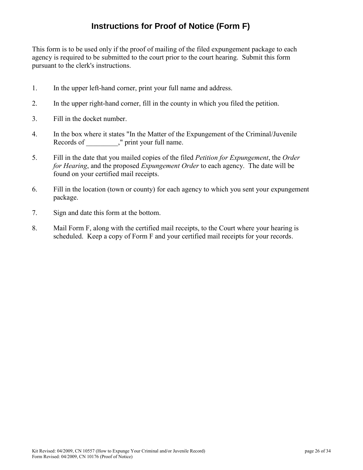# **Instructions for Proof of Notice (Form F)**

This form is to be used only if the proof of mailing of the filed expungement package to each agency is required to be submitted to the court prior to the court hearing. Submit this form pursuant to the clerk's instructions.

- 1. In the upper left-hand corner, print your full name and address.
- 2. In the upper right-hand corner, fill in the county in which you filed the petition.
- 3. Fill in the docket number.
- 4. In the box where it states "In the Matter of the Expungement of the Criminal/Juvenile Records of \_\_\_\_\_\_\_\_\_," print your full name.
- 5. Fill in the date that you mailed copies of the filed *Petition for Expungement*, the *Order for Hearing*, and the proposed *Expungement Order* to each agency. The date will be found on your certified mail receipts.
- 6. Fill in the location (town or county) for each agency to which you sent your expungement package.
- 7. Sign and date this form at the bottom.
- 8. Mail Form F, along with the certified mail receipts, to the Court where your hearing is scheduled. Keep a copy of Form F and your certified mail receipts for your records.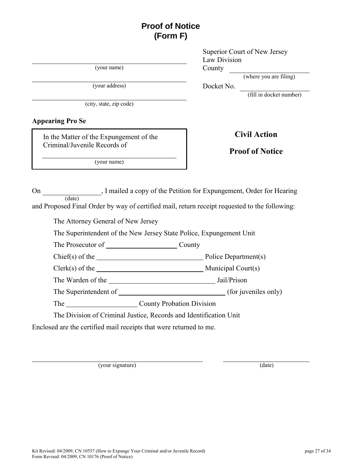# **Proof of Notice (Form F)**

(your name) County

(your address) Docket No.

(city, state, zip code)

#### **Appearing Pro Se**

In the Matter of the Expungement of the Criminal/Juvenile Records of

(your name)

Superior Court of New Jersey Law Division

(where you are filing)

(fill in docket number)

# **Civil Action**

## **Proof of Notice**

On , I mailed a copy of the Petition for Expungement, Order for Hearing (date) and Proposed Final Order by way of certified mail, return receipt requested to the following:

The Attorney General of New Jersey

The Superintendent of the New Jersey State Police, Expungement Unit

The Prosecutor of County

 $Chief(s)$  of the  $\rule{1em}{0.15mm}$  Police Department(s)

 $Clerk(s)$  of the  $Municial Court(s)$ 

The Warden of the **Jail/Prison** 

The Superintendent of (for juveniles only)

The County Probation Division

The Division of Criminal Justice, Records and Identification Unit

Enclosed are the certified mail receipts that were returned to me.

(your signature) (date)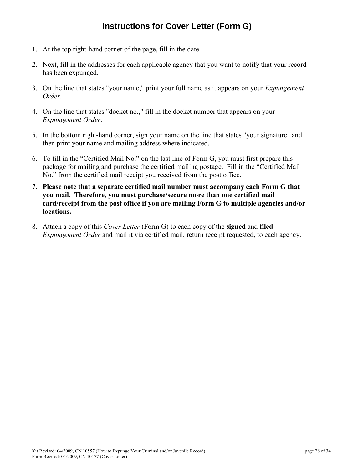# **Instructions for Cover Letter (Form G)**

- 1. At the top right-hand corner of the page, fill in the date.
- 2. Next, fill in the addresses for each applicable agency that you want to notify that your record has been expunged.
- 3. On the line that states "your name," print your full name as it appears on your *Expungement Order*.
- 4. On the line that states "docket no.," fill in the docket number that appears on your *Expungement Order*.
- 5. In the bottom right-hand corner, sign your name on the line that states "your signature" and then print your name and mailing address where indicated.
- 6. To fill in the "Certified Mail No." on the last line of Form G, you must first prepare this package for mailing and purchase the certified mailing postage. Fill in the "Certified Mail No." from the certified mail receipt you received from the post office.
- 7. **Please note that a separate certified mail number must accompany each Form G that you mail. Therefore, you must purchase/secure more than one certified mail card/receipt from the post office if you are mailing Form G to multiple agencies and/or locations.**
- 8. Attach a copy of this *Cover Letter* (Form G) to each copy of the **signed** and **filed** *Expungement Order* and mail it via certified mail, return receipt requested, to each agency.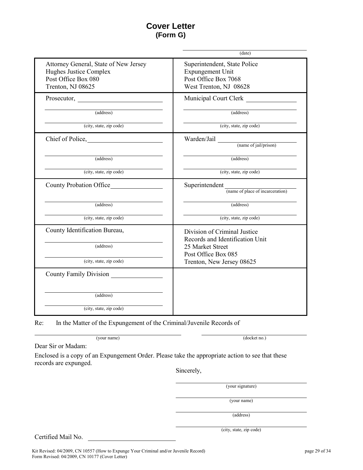# **Cover Letter (Form G)**

|                                                                                                             | $(\overline{date})$                                                                                                                                     |
|-------------------------------------------------------------------------------------------------------------|---------------------------------------------------------------------------------------------------------------------------------------------------------|
| Attorney General, State of New Jersey<br>Hughes Justice Complex<br>Post Office Box 080<br>Trenton, NJ 08625 | Superintendent, State Police<br>Expungement Unit<br>Post Office Box 7068<br>West Trenton, NJ 08628                                                      |
|                                                                                                             | <b>Municipal Court Clerk</b>                                                                                                                            |
| (address)                                                                                                   | (address)                                                                                                                                               |
| (city, state, zip code)                                                                                     | (city, state, zip code)                                                                                                                                 |
|                                                                                                             | Warden/Jail (name of jail/prison)                                                                                                                       |
| (address)                                                                                                   | (address)                                                                                                                                               |
| (city, state, zip code)                                                                                     | (city, state, zip code)                                                                                                                                 |
| <b>County Probation Office</b>                                                                              | $\begin{minipage}{.4\linewidth} \textbf{Superintendent} \begin{tabular}{l} \hline \textbf{name of place of incareeration} \end{tabular} \end{minipage}$ |
| (address)                                                                                                   | (address)                                                                                                                                               |
| (city, state, zip code)                                                                                     | (city, state, zip code)                                                                                                                                 |
| County Identification Bureau,<br>(address)                                                                  | Division of Criminal Justice<br>Records and Identification Unit<br>25 Market Street<br>Post Office Box 085                                              |
| (city, state, zip code)                                                                                     | Trenton, New Jersey 08625                                                                                                                               |
| County Family Division                                                                                      |                                                                                                                                                         |
| (address)                                                                                                   |                                                                                                                                                         |
| (city, state, zip code)                                                                                     |                                                                                                                                                         |

Re: In the Matter of the Expungement of the Criminal/Juvenile Records of

(your name) (docket no.)

Dear Sir or Madam:

Enclosed is a copy of an Expungement Order. Please take the appropriate action to see that these records are expunged.

Sincerely,

(your signature)

(your name)

(address)

Certified Mail No.

(city, state, zip code)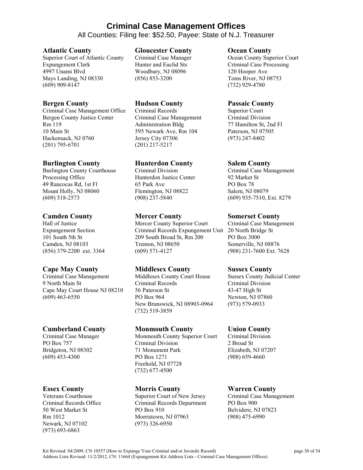# **Criminal Case Management Offices**

All Counties: Filing fee: \$52.50, Payee: State of N.J. Treasurer

#### **Atlantic County**

Superior Court of Atlantic County Expungement Clerk 4997 Unami Blvd Mays Landing, NJ 08330 (609) 909-8147

### **Bergen County**

Criminal Case Management Office Bergen County Justice Center Rm 119 10 Main St Hackensack, NJ 0760 (201) 795-6701

#### **Burlington County**

Burlington County Courthouse Processing Office 49 Rancocas Rd, 1st Fl Mount Holly, NJ 08060 (609) 518-2573

#### **Camden County**

Hall of Justice Expungement Section 101 South 5th St Camden, NJ 08103 (856) 379-2200 ext. 3364

## **Cape May County**

Criminal Case Management 9 North Main St Cape May Court House NJ 08210 (609) 463-6550

#### **Cumberland County**

Criminal Case Manager PO Box 757 Bridgeton, NJ 08302 (609) 453-4300

## **Essex County**

Veterans Courthouse Criminal Records Office 50 West Market St Rm 1012 Newark, NJ 07102 (973) 693-6863

#### **Gloucester County**

Criminal Case Manager Hunter and Euclid Sts Woodbury, NJ 08096 (856) 853-3200

#### **Hudson County**

Criminal Records Criminal Case Management Administration Bldg 595 Newark Ave, Rm 104 Jersey City 07306 (201) 217-5217

## **Hunterdon County**

Criminal Division Hunterdon Justice Center 65 Park Ave Flemington, NJ 08822 (908) 237-5840

#### **Mercer County**

Mercer County Superior Court Criminal Records Expungement Unit 209 South Broad St, Rm 200 Trenton, NJ 08650 (609) 571-4127

## **Middlesex County**

Middlesex County Court House Criminal Records 56 Paterson St PO Box 964 New Brunswick, NJ 08903-0964 (732) 519-3859

#### **Monmouth County**

Monmouth County Superior Court Criminal Division 71 Monument Park PO Box 1271 Freehold, NJ 07728 (732) 677-4500

## **Morris County**

Superior Court of New Jersey Criminal Records Department PO Box 910 Morristown, NJ 07963 (973) 326-6950

#### **Ocean County**

Ocean County Superior Court Criminal Case Processing 120 Hooper Ave Toms River, NJ 08753 (732) 929-4780

#### **Passaic County**

Superior Court Criminal Division 77 Hamilton St, 2nd Fl Paterson, NJ 07505 (973) 247-8402

#### **Salem County**

Criminal Case Management 92 Market St PO Box 78 Salem, NJ 08079 (609) 935-7510, Ext. 8279

#### **Somerset County**

Criminal Case Management 20 North Bridge St PO Box 3000 Somerville, NJ 08876 (908) 231-7600 Ext. 7628

#### **Sussex County**

Sussex County Judicial Center Criminal Division 43-47 High St Newton, NJ 07860 (973) 579-0933

## **Union County**

Criminal Division 2 Broad St Elizabeth, NJ 07207 (908) 659-4660

# **Warren County**

Criminal Case Management PO Box 900 Belvidere, NJ 07823 (908) 475-6990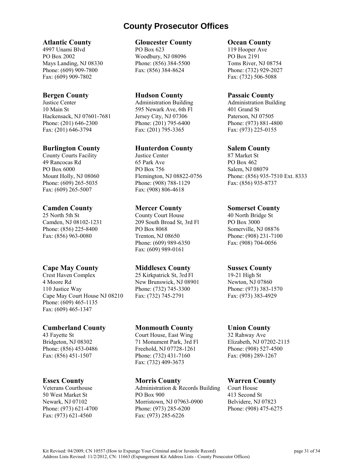# **County Prosecutor Offices**

#### **Atlantic County**

4997 Unami Blvd PO Box 2002 Mays Landing, NJ 08330 Phone: (609) 909-7800 Fax: (609) 909-7802

#### **Bergen County**

Justice Center 10 Main St Hackensack, NJ 07601-7681 Phone: (201) 646-2300 Fax: (201) 646-3794

#### **Burlington County**

County Courts Facility 49 Rancocas Rd PO Box 6000 Mount Holly, NJ 08060 Phone: (609) 265-5035 Fax: (609) 265-5007

#### **Camden County**

25 North 5th St Camden, NJ 08102-1231 Phone: (856) 225-8400 Fax: (856) 963-0080

## **Cape May County**

Crest Haven Complex 4 Moore Rd 110 Justice Way Cape May Court House NJ 08210 Phone: (609) 465-1135 Fax: (609) 465-1347

#### **Cumberland County**

43 Fayette St Bridgeton, NJ 08302 Phone: (856) 453-0486 Fax: (856) 451-1507

## **Essex County**

Veterans Courthouse 50 West Market St Newark, NJ 07102 Phone: (973) 621-4700 Fax: (973) 621-4560

#### **Gloucester County**

PO Box 623 Woodbury, NJ 08096 Phone: (856) 384-5500 Fax: (856) 384-8624

#### **Hudson County**

Administration Building 595 Newark Ave, 6th Fl Jersey City, NJ 07306 Phone: (201) 795-6400 Fax: (201) 795-3365

#### **Hunterdon County**

Justice Center 65 Park Ave PO Box 756 Flemington, NJ 08822-0756 Phone: (908) 788-1129 Fax: (908) 806-4618

#### **Mercer County**

County Court House 209 South Broad St, 3rd Fl PO Box 8068 Trenton, NJ 08650 Phone: (609) 989-6350 Fax: (609) 989-0161

#### **Middlesex County**

25 Kirkpatrick St, 3rd Fl New Brunswick, NJ 08901 Phone: (732) 745-3300 Fax: (732) 745-2791

#### **Monmouth County**

Court House, East Wing 71 Monument Park, 3rd Fl Freehold, NJ 07728-1261 Phone: (732) 431-7160 Fax: (732) 409-3673

#### **Morris County**

Administration & Records Building PO Box 900 Morristown, NJ 07963-0900 Phone: (973) 285-6200 Fax: (973) 285-6226

#### **Ocean County**

119 Hooper Ave PO Box 2191 Toms River, NJ 08754 Phone: (732) 929-2027 Fax: (732) 506-5088

#### **Passaic County**

Administration Building 401 Grand St Paterson, NJ 07505 Phone: (973) 881-4800 Fax: (973) 225-0155

#### **Salem County**

87 Market St PO Box 462 Salem, NJ 08079 Phone: (856) 935-7510 Ext. 8333 Fax: (856) 935-8737

#### **Somerset County**

40 North Bridge St PO Box 3000 Somerville, NJ 08876 Phone: (908) 231-7100 Fax: (908) 704-0056

#### **Sussex County**

19-21 High St Newton, NJ 07860 Phone: (973) 383-1570 Fax: (973) 383-4929

#### **Union County**

32 Rahway Ave Elizabeth, NJ 07202-2115 Phone: (908) 527-4500 Fax: (908) 289-1267

## **Warren County**

Court House 413 Second St Belvidere, NJ 07823 Phone: (908) 475-6275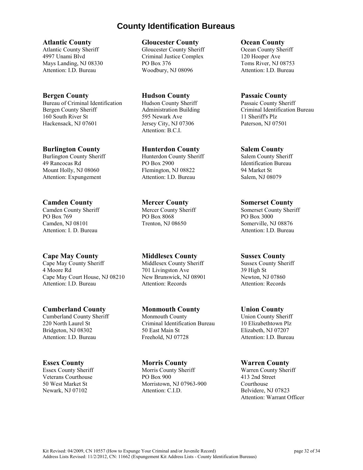# **County Identification Bureaus**

#### **Atlantic County**

Atlantic County Sheriff 4997 Unami Blvd Mays Landing, NJ 08330 Attention: I.D. Bureau

#### **Bergen County**

Bureau of Criminal Identification Bergen County Sheriff 160 South River St Hackensack, NJ 07601

#### **Burlington County**

Burlington County Sheriff 49 Rancocas Rd Mount Holly, NJ 08060 Attention: Expungement

## **Camden County**

Camden County Sheriff PO Box 769 Camden, NJ 08101 Attention: I. D. Bureau

# **Cape May County**

Cape May County Sheriff 4 Moore Rd Cape May Court House, NJ 08210 Attention: I.D. Bureau

## **Cumberland County**

Cumberland County Sheriff 220 North Laurel St Bridgeton, NJ 08302 Attention: I.D. Bureau

## **Essex County**

Essex County Sheriff Veterans Courthouse 50 West Market St Newark, NJ 07102

#### **Gloucester County**

Gloucester County Sheriff Criminal Justice Complex PO Box 376 Woodbury, NJ 08096

**Hudson County** Hudson County Sheriff Administration Building 595 Newark Ave Jersey City, NJ 07306 Attention: B.C.I.

#### **Hunterdon County**

Hunterdon County Sheriff PO Box 2900 Flemington, NJ 08822 Attention: I.D. Bureau

## **Mercer County**

Mercer County Sheriff PO Box 8068 Trenton, NJ 08650

# **Middlesex County**

Middlesex County Sheriff 701 Livingston Ave New Brunswick, NJ 08901 Attention: Records

# **Monmouth County**

Monmouth County Criminal Identification Bureau 50 East Main St Freehold, NJ 07728

#### **Morris County**

Morris County Sheriff PO Box 900 Morristown, NJ 07963-900 Attention: C.I.D.

#### **Ocean County**

Ocean County Sheriff 120 Hooper Ave Toms River, NJ 08753 Attention: I.D. Bureau

#### **Passaic County**

Passaic County Sheriff Criminal Identification Bureau 11 Sheriff's Plz Paterson, NJ 07501

#### **Salem County**

Salem County Sheriff Identification Bureau 94 Market St Salem, NJ 08079

#### **Somerset County**

Somerset County Sheriff PO Box 3000 Somerville, NJ 08876 Attention: I.D. Bureau

#### **Sussex County**

Sussex County Sheriff 39 High St Newton, NJ 07860 Attention: Records

#### **Union County**

Union County Sheriff 10 Elizabethtown Plz Elizabeth, NJ 07207 Attention: I.D. Bureau

#### **Warren County**

Warren County Sheriff 413 2nd Street Courthouse Belvidere, NJ 07823 Attention: Warrant Officer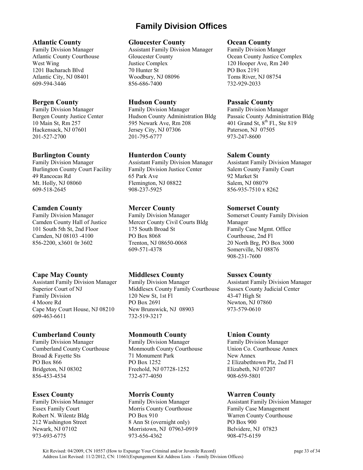# **Family Division Offices**

#### **Atlantic County**

Family Division Manager Atlantic County Courthouse West Wing 1201 Bacharach Blvd Atlantic City, NJ 08401 609-594-3446

### **Bergen County**

Family Division Manager Bergen County Justice Center 10 Main St, Rm 257 Hackensack, NJ 07601 201-527-2700

#### **Burlington County**

Family Division Manager Burlington County Court Facility 49 Rancocas Rd Mt. Holly, NJ 08060 609-518-2645

#### **Camden County**

Family Division Manager Camden County Hall of Justice 101 South 5th St, 2nd Floor Camden, NJ 08103 -4100 856-2200, x3601 0r 3602

## **Cape May County**

Assistant Family Division Manager Superior Court of NJ Family Division 4 Moore Rd Cape May Court House, NJ 08210 609-463-6611

## **Cumberland County**

Family Division Manager Cumberland County Courthouse Broad & Fayette Sts PO Box 866 Bridgeton, NJ 08302 856-453-4534

## **Essex County**

Family Division Manager Essex Family Court Robert N. Wilentz Bldg 212 Washington Street Newark, NJ 07102 973-693-6775

#### **Gloucester County**

Assistant Family Division Manager Gloucester County Justice Complex 70 Hunter St Woodbury, NJ 08096 856-686-7400

#### **Hudson County**

Family Division Manager Hudson County Administration Bldg 595 Newark Ave, Rm 208 Jersey City, NJ 07306 201-795-6777

## **Hunterdon County**

Assistant Family Division Manager Family Division Justice Center 65 Park Ave Flemington, NJ 08822 908-237-5925

## **Mercer County**

Family Division Manager Mercer County Civil Courts Bldg 175 South Broad St PO Box 8068 Trenton, NJ 08650-0068 609-571-4378

## **Middlesex County**

Family Division Manager Middlesex County Family Courthouse 120 New St, 1st Fl PO Box 2691 New Brunswick, NJ 08903 732-519-3217

#### **Monmouth County**

Family Division Manager Monmouth County Courthouse 71 Monument Park PO Box 1252 Freehold, NJ 07728-1252 732-677-4050

## **Morris County**

Family Division Manager Morris County Courthouse PO Box 910 8 Ann St (overnight only) Morristown, NJ 07963-0919 973-656-4362

#### **Ocean County**

Family Division Manger Ocean County Justice Complex 120 Hooper Ave, Rm 240 PO Box 2191 Toms River, NJ 08754 732-929-2033

#### **Passaic County**

Family Division Manager Passaic County Administration Bldg 401 Grand St,  $8^{th}$  Fl., Ste 819 Paterson, NJ 07505 973-247-8600

## **Salem County**

Assistant Family Division Manager Salem County Family Court 92 Market St Salem, NJ 08079 856-935-7510 x 8262

#### **Somerset County**

Somerset County Family Division Manager Family Case Mgmt. Office Courthouse, 2nd Fl 20 North Brg, PO Box 3000 Somerville, NJ 08876 908-231-7600

## **Sussex County**

Assistant Family Division Manager Sussex County Judicial Center 43-47 High St Newton, NJ 07860 973-579-0610

## **Union County**

Family Division Manager Union Co. Courthouse Annex New Annex 2 Elizabethtown Plz, 2nd Fl Elizabeth, NJ 07207 908-659-5801

## **Warren County**

Assistant Family Division Manager Family Case Management Warren County Courthouse PO Box 900 Belvidere, NJ 07823 908-475-6159